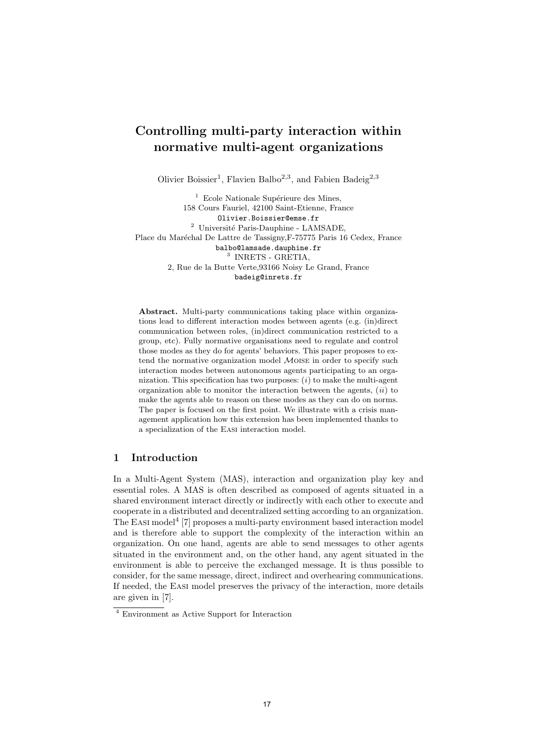# Controlling multi-party interaction within normative multi-agent organizations

Olivier Boissier<sup>1</sup>, Flavien Balbo<sup>2,3</sup>, and Fabien Badeig<sup>2,3</sup>

 $1$  Ecole Nationale Supérieure des Mines, 158 Cours Fauriel, 42100 Saint-Etienne, France Olivier.Boissier@emse.fr  $^2\,$ Université Paris-Dauphine - LAMSADE, Place du Maréchal De Lattre de Tassigny,F-75775 Paris 16 Cedex, France balbo@lamsade.dauphine.fr <sup>3</sup> INRETS - GRETIA, 2, Rue de la Butte Verte,93166 Noisy Le Grand, France badeig@inrets.fr

Abstract. Multi-party communications taking place within organizations lead to different interaction modes between agents (e.g. (in)direct communication between roles, (in)direct communication restricted to a group, etc). Fully normative organisations need to regulate and control those modes as they do for agents' behaviors. This paper proposes to extend the normative organization model Moise in order to specify such interaction modes between autonomous agents participating to an organization. This specification has two purposes:  $(i)$  to make the multi-agent organization able to monitor the interaction between the agents,  $(ii)$  to make the agents able to reason on these modes as they can do on norms. The paper is focused on the first point. We illustrate with a crisis management application how this extension has been implemented thanks to a specialization of the Easi interaction model.

# 1 Introduction

In a Multi-Agent System (MAS), interaction and organization play key and essential roles. A MAS is often described as composed of agents situated in a shared environment interact directly or indirectly with each other to execute and cooperate in a distributed and decentralized setting according to an organization. The EASI model<sup>4</sup> [7] proposes a multi-party environment based interaction model and is therefore able to support the complexity of the interaction within an organization. On one hand, agents are able to send messages to other agents situated in the environment and, on the other hand, any agent situated in the environment is able to perceive the exchanged message. It is thus possible to consider, for the same message, direct, indirect and overhearing communications. If needed, the Easi model preserves the privacy of the interaction, more details are given in [7].

<sup>4</sup> Environment as Active Support for Interaction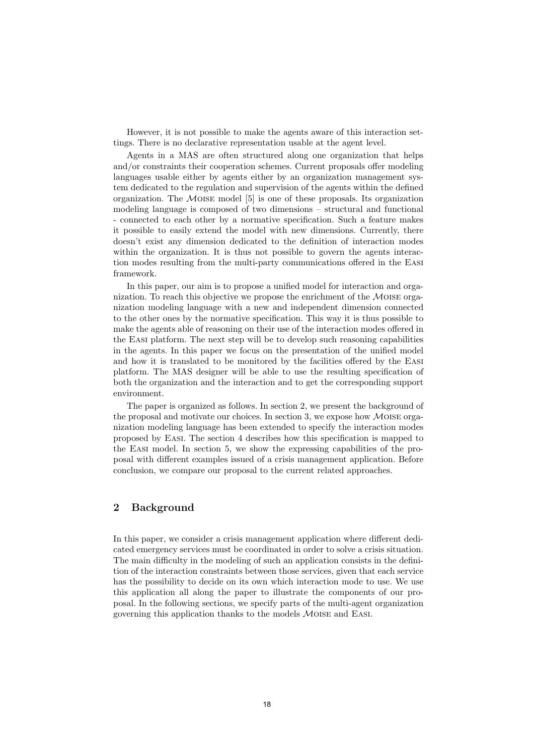However, it is not possible to make the agents aware of this interaction settings. There is no declarative representation usable at the agent level.

Agents in a MAS are often structured along one organization that helps and/or constraints their cooperation schemes. Current proposals offer modeling languages usable either by agents either by an organization management system dedicated to the regulation and supervision of the agents within the defined organization. The Moise model [5] is one of these proposals. Its organization modeling language is composed of two dimensions – structural and functional - connected to each other by a normative specification. Such a feature makes it possible to easily extend the model with new dimensions. Currently, there doesn't exist any dimension dedicated to the definition of interaction modes within the organization. It is thus not possible to govern the agents interaction modes resulting from the multi-party communications offered in the Easi framework.

In this paper, our aim is to propose a unified model for interaction and organization. To reach this objective we propose the enrichment of the Moise organization modeling language with a new and independent dimension connected to the other ones by the normative specification. This way it is thus possible to make the agents able of reasoning on their use of the interaction modes offered in the Easi platform. The next step will be to develop such reasoning capabilities in the agents. In this paper we focus on the presentation of the unified model and how it is translated to be monitored by the facilities offered by the Easi platform. The MAS designer will be able to use the resulting specification of both the organization and the interaction and to get the corresponding support environment.

The paper is organized as follows. In section 2, we present the background of the proposal and motivate our choices. In section 3, we expose how  $\mathcal{M}$ OISE organization modeling language has been extended to specify the interaction modes proposed by Easi. The section 4 describes how this specification is mapped to the Easi model. In section 5, we show the expressing capabilities of the proposal with different examples issued of a crisis management application. Before conclusion, we compare our proposal to the current related approaches.

# 2 Background

In this paper, we consider a crisis management application where different dedicated emergency services must be coordinated in order to solve a crisis situation. The main difficulty in the modeling of such an application consists in the definition of the interaction constraints between those services, given that each service has the possibility to decide on its own which interaction mode to use. We use this application all along the paper to illustrate the components of our proposal. In the following sections, we specify parts of the multi-agent organization governing this application thanks to the models Moise and Easi.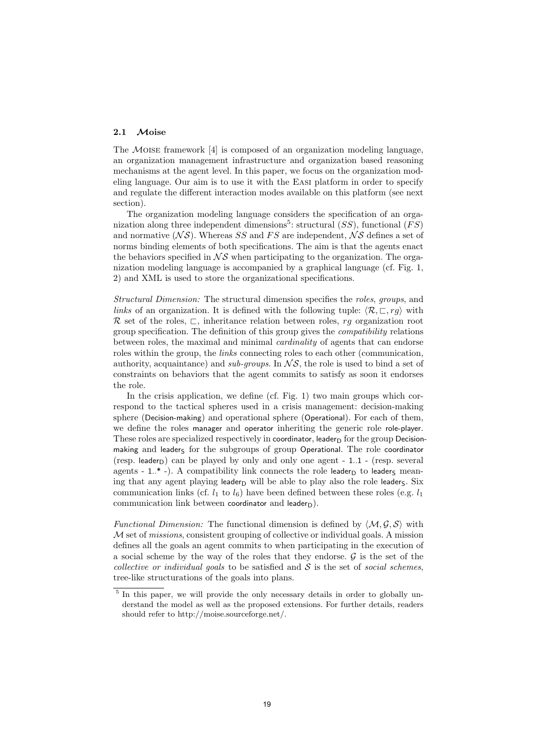#### 2.1 Moise

The Moise framework [4] is composed of an organization modeling language, an organization management infrastructure and organization based reasoning mechanisms at the agent level. In this paper, we focus on the organization modeling language. Our aim is to use it with the Easi platform in order to specify and regulate the different interaction modes available on this platform (see next section).

The organization modeling language considers the specification of an organization along three independent dimensions<sup>5</sup>: structural  $(SS)$ , functional  $(FS)$ and normative  $(\mathcal{N}S)$ . Whereas SS and FS are independent,  $\mathcal{N}S$  defines a set of norms binding elements of both specifications. The aim is that the agents enact the behaviors specified in  $\mathcal{N} \mathcal{S}$  when participating to the organization. The organization modeling language is accompanied by a graphical language (cf. Fig. 1, 2) and XML is used to store the organizational specifications.

Structural Dimension: The structural dimension specifies the roles, groups, and links of an organization. It is defined with the following tuple:  $\langle \mathcal{R}, \sqsubset, r_g \rangle$  with R set of the roles,  $\sqsubset$ , inheritance relation between roles, rg organization root group specification. The definition of this group gives the compatibility relations between roles, the maximal and minimal cardinality of agents that can endorse roles within the group, the *links* connecting roles to each other (communication, authority, acquaintance) and sub-groups. In  $\mathcal{NS}$ , the role is used to bind a set of constraints on behaviors that the agent commits to satisfy as soon it endorses the role.

In the crisis application, we define (cf. Fig. 1) two main groups which correspond to the tactical spheres used in a crisis management: decision-making sphere (Decision-making) and operational sphere (Operational). For each of them, we define the roles manager and operator inheriting the generic role role-player. These roles are specialized respectively in coordinator, leader $<sub>D</sub>$  for the group Decision-</sub> making and leaders for the subgroups of group Operational. The role coordinator (resp. leader<sub>D</sub>) can be played by only and only one agent -  $1.1$  - (resp. several agents -  $1.*$  -). A compatibility link connects the role leader $_D$  to leaders meaning that any agent playing leader<sub>D</sub> will be able to play also the role leader<sub>S</sub>. Six communication links (cf.  $l_1$  to  $l_6$ ) have been defined between these roles (e.g.  $l_1$ communication link between coordinator and leader<sub>D</sub>).

Functional Dimension: The functional dimension is defined by  $\langle M, \mathcal{G}, \mathcal{S} \rangle$  with M set of missions, consistent grouping of collective or individual goals. A mission defines all the goals an agent commits to when participating in the execution of a social scheme by the way of the roles that they endorse.  $\mathcal G$  is the set of the collective or individual goals to be satisfied and  $S$  is the set of social schemes, tree-like structurations of the goals into plans.

<sup>&</sup>lt;sup>5</sup> In this paper, we will provide the only necessary details in order to globally understand the model as well as the proposed extensions. For further details, readers should refer to http://moise.sourceforge.net/.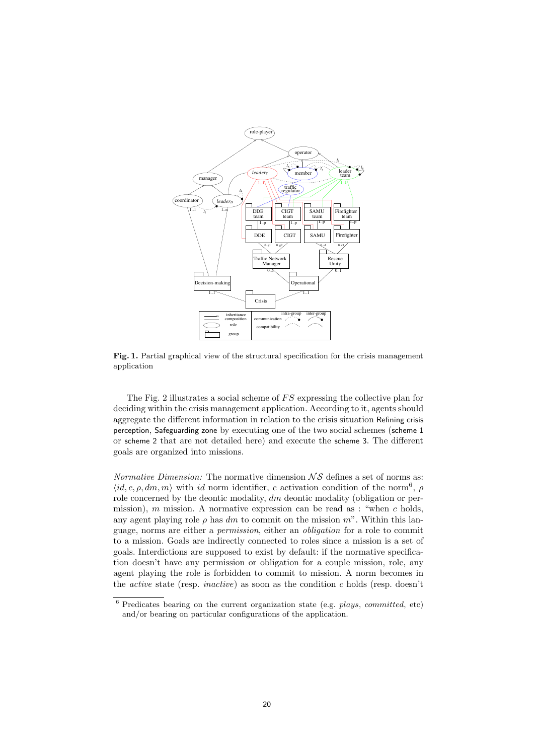

Fig. 1. Partial graphical view of the structural specification for the crisis management application

The Fig. 2 illustrates a social scheme of  $FS$  expressing the collective plan for deciding within the crisis management application. According to it, agents should aggregate the different information in relation to the crisis situation Refining crisis perception, Safeguarding zone by executing one of the two social schemes (scheme 1 or scheme 2 that are not detailed here) and execute the scheme 3. The different goals are organized into missions.

Normative Dimension: The normative dimension  $\mathcal{N}\mathcal{S}$  defines a set of norms as:  $\langle id, c, \rho, dm, m \rangle$  with id norm identifier, c activation condition of the norm<sup>6</sup>,  $\rho$ role concerned by the deontic modality,  $dm$  deontic modality (obligation or permission), m mission. A normative expression can be read as : "when c holds, any agent playing role  $\rho$  has dm to commit on the mission  $m$ ". Within this language, norms are either a permission, either an obligation for a role to commit to a mission. Goals are indirectly connected to roles since a mission is a set of goals. Interdictions are supposed to exist by default: if the normative specification doesn't have any permission or obligation for a couple mission, role, any agent playing the role is forbidden to commit to mission. A norm becomes in the *active* state (resp. *inactive*) as soon as the condition c holds (resp. doesn't

 $6$  Predicates bearing on the current organization state (e.g. plays, committed, etc) and/or bearing on particular configurations of the application.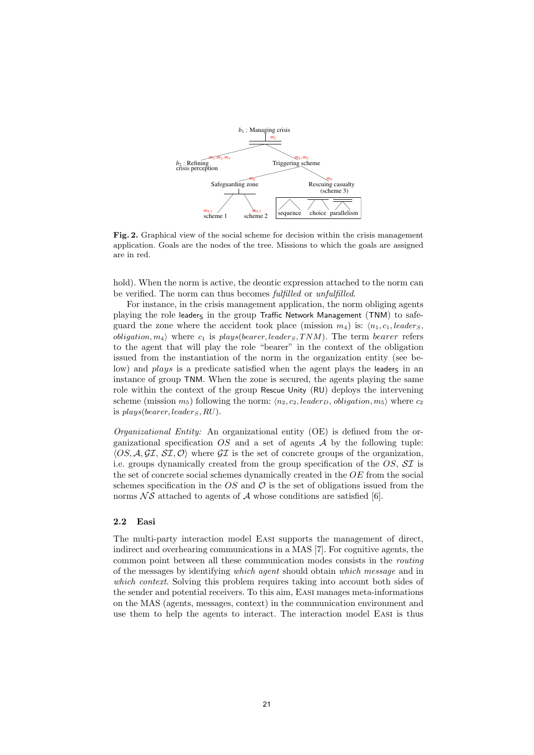

Fig. 2. Graphical view of the social scheme for decision within the crisis management application. Goals are the nodes of the tree. Missions to which the goals are assigned are in red.

hold). When the norm is active, the deontic expression attached to the norm can be verified. The norm can thus becomes *fulfilled* or *unfulfilled*.

For instance, in the crisis management application, the norm obliging agents playing the role leaders in the group Traffic Network Management (TNM) to safeguard the zone where the accident took place (mission  $m_4$ ) is:  $\langle n_1, c_1, leaders,$ *obligation, m<sub>4</sub>* where  $c_1$  is *plays(bearer, leaders, TNM)*. The term *bearer* refers to the agent that will play the role "bearer" in the context of the obligation issued from the instantiation of the norm in the organization entity (see below) and *plays* is a predicate satisfied when the agent plays the leaders in an instance of group TNM. When the zone is secured, the agents playing the same role within the context of the group Rescue Unity (RU) deploys the intervening scheme (mission  $m_5$ ) following the norm:  $\langle n_2, c_2, leader_D, obligation, m_5 \rangle$  where  $c_2$ is  $plays(bearer, leaders, RU).$ 

Organizational Entity: An organizational entity (OE) is defined from the organizational specification  $OS$  and a set of agents  $A$  by the following tuple:  $\langle OS, A, \mathcal{GI}, \mathcal{SI}, \mathcal{O} \rangle$  where  $\mathcal{GI}$  is the set of concrete groups of the organization, i.e. groups dynamically created from the group specification of the  $OS$ ,  $ST$  is the set of concrete social schemes dynamically created in the  $OE$  from the social schemes specification in the  $OS$  and  $\mathcal O$  is the set of obligations issued from the norms  $\mathcal{N} \mathcal{S}$  attached to agents of  $\mathcal{A}$  whose conditions are satisfied [6].

#### 2.2 Easi

The multi-party interaction model Easi supports the management of direct, indirect and overhearing communications in a MAS [7]. For cognitive agents, the common point between all these communication modes consists in the routing of the messages by identifying which agent should obtain which message and in which context. Solving this problem requires taking into account both sides of the sender and potential receivers. To this aim, Easi manages meta-informations on the MAS (agents, messages, context) in the communication environment and use them to help the agents to interact. The interaction model Easi is thus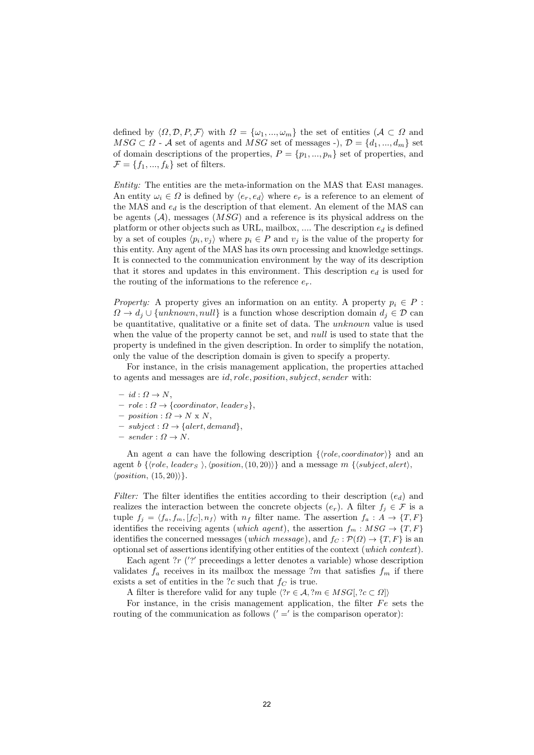defined by  $\langle \Omega, \mathcal{D}, P, \mathcal{F} \rangle$  with  $\Omega = {\omega_1, ..., \omega_m}$  the set of entities  $(\mathcal{A} \subset \Omega$  and  $MSG \subset \Omega$  - A set of agents and  $MSG$  set of messages -),  $\mathcal{D} = \{d_1, ..., d_m\}$  set of domain descriptions of the properties,  $P = \{p_1, ..., p_n\}$  set of properties, and  $\mathcal{F} = \{f_1, ..., f_k\}$  set of filters.

Entity: The entities are the meta-information on the MAS that EASI manages. An entity  $\omega_i \in \Omega$  is defined by  $\langle e_r, e_d \rangle$  where  $e_r$  is a reference to an element of the MAS and  $e_d$  is the description of that element. An element of the MAS can be agents  $(A)$ , messages  $(MSG)$  and a reference is its physical address on the platform or other objects such as URL, mailbox, .... The description  $e_d$  is defined by a set of couples  $\langle p_i, v_j \rangle$  where  $p_i \in P$  and  $v_j$  is the value of the property for this entity. Any agent of the MAS has its own processing and knowledge settings. It is connected to the communication environment by the way of its description that it stores and updates in this environment. This description  $e_d$  is used for the routing of the informations to the reference  $e_r$ .

Property: A property gives an information on an entity. A property  $p_i \in P$ :  $\Omega \to d_i \cup \{unknown, null\}$  is a function whose description domain  $d_i \in \mathcal{D}$  can be quantitative, qualitative or a finite set of data. The unknown value is used when the value of the property cannot be set, and *null* is used to state that the property is undefined in the given description. In order to simplify the notation, only the value of the description domain is given to specify a property.

For instance, in the crisis management application, the properties attached to agents and messages are id, role, position, subject, sender with:

- $id : \Omega \to N$ ,
- $role: \Omega \rightarrow \{coordinator, leaders\},\$
- $position: \Omega \rightarrow N \times N,$
- $-$  subject :  $\Omega \rightarrow \{ alert, demand\},\$
- $-$  sender :  $\Omega \to N$ .

An agent a can have the following description  $\{\langle role, coordinator\rangle\}$  and an agent b  $\{\langle role, leaders \rangle, \langle position,(10, 20)\rangle\}$  and a message m  $\{\langle subject, alert\rangle,$  $\langle position, (15, 20)\rangle$ .

Filter: The filter identifies the entities according to their description  $(e_d)$  and realizes the interaction between the concrete objects  $(e_r)$ . A filter  $f_i \in \mathcal{F}$  is a tuple  $f_j = \langle f_a, f_m, [f_C], n_f \rangle$  with  $n_f$  filter name. The assertion  $f_a : A \to \{T, F\}$ identifies the receiving agents (which agent), the assertion  $f_m : MSG \to \{T, F\}$ identifies the concerned messages (which message), and  $f_C : \mathcal{P}(\Omega) \to \{T, F\}$  is an optional set of assertions identifying other entities of the context (which context).

Each agent  $'r$  ( $'$ ?' preceedings a letter denotes a variable) whose description validates  $f_a$  receives in its mailbox the message ?m that satisfies  $f_m$  if there exists a set of entities in the ?c such that  $f_C$  is true.

A filter is therefore valid for any tuple  $\langle ?r \in \mathcal{A}, ?m \in MSG[, ?c \subset \Omega] \rangle$ 

For instance, in the crisis management application, the filter  $Fe$  sets the routing of the communication as follows  $\ell' =$  is the comparison operator):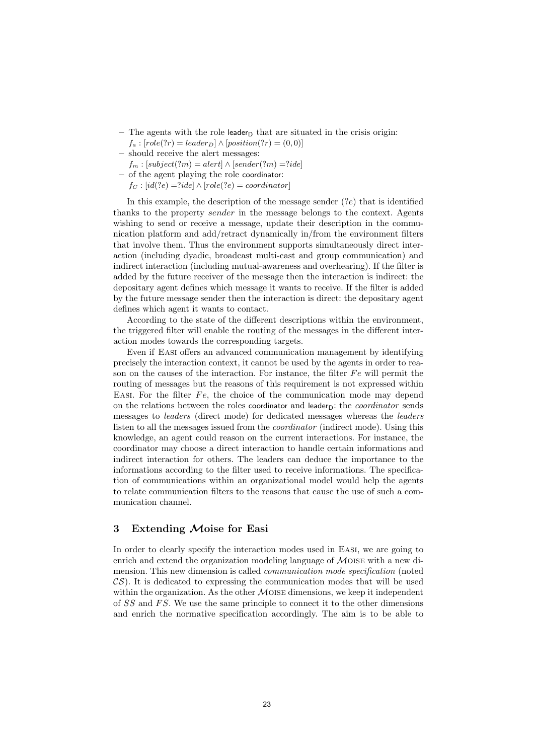- The agents with the role leader that are situated in the crisis origin:  $f_a$ :  $[role(?r) = leader_D] \wedge [position(?r) = (0, 0)]$
- should receive the alert messages:

 $f_m : [subject(?m) = alert] \wedge [sender(?m) = ?ide]$ 

– of the agent playing the role coordinator:  $fc : [id(?e) = ?ide] \wedge [role(?e) = coordinate]$ 

In this example, the description of the message sender  $(2e)$  that is identified thanks to the property sender in the message belongs to the context. Agents wishing to send or receive a message, update their description in the communication platform and add/retract dynamically in/from the environment filters that involve them. Thus the environment supports simultaneously direct interaction (including dyadic, broadcast multi-cast and group communication) and indirect interaction (including mutual-awareness and overhearing). If the filter is added by the future receiver of the message then the interaction is indirect: the depositary agent defines which message it wants to receive. If the filter is added by the future message sender then the interaction is direct: the depositary agent defines which agent it wants to contact.

According to the state of the different descriptions within the environment, the triggered filter will enable the routing of the messages in the different interaction modes towards the corresponding targets.

Even if Easi offers an advanced communication management by identifying precisely the interaction context, it cannot be used by the agents in order to reason on the causes of the interaction. For instance, the filter  $Fe$  will permit the routing of messages but the reasons of this requirement is not expressed within Easi. For the filter  $Fe$ , the choice of the communication mode may depend on the relations between the roles coordinator and leader<sub>D</sub>: the *coordinator* sends messages to leaders (direct mode) for dedicated messages whereas the leaders listen to all the messages issued from the coordinator (indirect mode). Using this knowledge, an agent could reason on the current interactions. For instance, the coordinator may choose a direct interaction to handle certain informations and indirect interaction for others. The leaders can deduce the importance to the informations according to the filter used to receive informations. The specification of communications within an organizational model would help the agents to relate communication filters to the reasons that cause the use of such a communication channel.

# 3 Extending Moise for Easi

In order to clearly specify the interaction modes used in Easi, we are going to enrich and extend the organization modeling language of MOISE with a new dimension. This new dimension is called communication mode specification (noted  $\mathcal{CS}$ ). It is dedicated to expressing the communication modes that will be used within the organization. As the other  $\mathcal{M}$ OISE dimensions, we keep it independent of  $SS$  and  $FS$ . We use the same principle to connect it to the other dimensions and enrich the normative specification accordingly. The aim is to be able to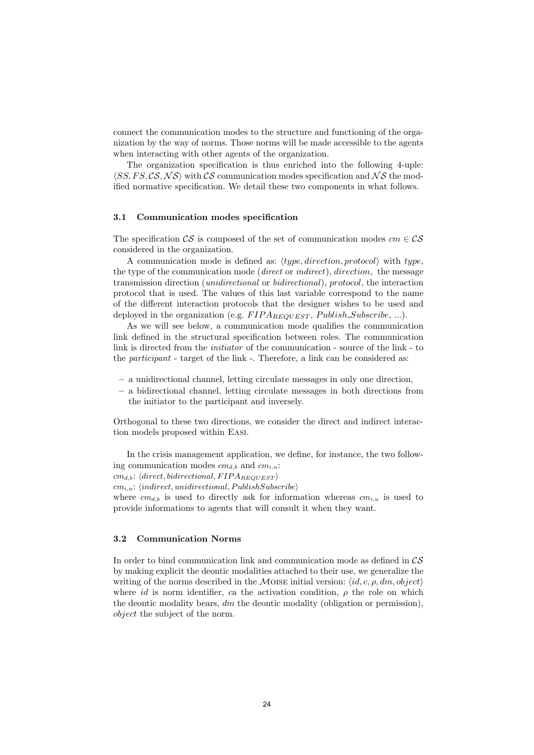connect the communication modes to the structure and functioning of the organization by the way of norms. Those norms will be made accessible to the agents when interacting with other agents of the organization.

The organization specification is thus enriched into the following 4-uple:  $\langle SS, FS, CS, NS \rangle$  with CS communication modes specification and  $\mathcal{NS}$  the modified normative specification. We detail these two components in what follows.

#### 3.1 Communication modes specification

The specification  $\mathcal{CS}$  is composed of the set of communication modes  $cm \in \mathcal{CS}$ considered in the organization.

A communication mode is defined as:  $\langle type, direction, protocol \rangle$  with type, the type of the communication mode (*direct* or *indirect*), *direction*, the message transmission direction (unidirectional or bidirectional), protocol, the interaction protocol that is used. The values of this last variable correspond to the name of the different interaction protocols that the designer wishes to be used and deployed in the organization (e.g.  $FIPA_{REQUEST}$ , Publish Subscribe, ...).

As we will see below, a communication mode qualifies the communication link defined in the structural specification between roles. The communication link is directed from the initiator of the communication - source of the link - to the participant - target of the link -. Therefore, a link can be considered as:

- a unidirectional channel, letting circulate messages in only one direction,
- a bidirectional channel, letting circulate messages in both directions from the initiator to the participant and inversely.

Orthogonal to these two directions, we consider the direct and indirect interaction models proposed within Easi.

In the crisis management application, we define, for instance, the two following communication modes  $cm_{d,b}$  and  $cm_{i,u}$ :

 $cm_{d,b}: \langle direct, bidirectional, FIPA_{REQUEST} \rangle$ 

 $cm_{i,u}: \langle indirect, unidirectional, Publishing to \rangle$ 

where  $cm_{d,b}$  is used to directly ask for information whereas  $cm_{i,u}$  is used to provide informations to agents that will consult it when they want.

## 3.2 Communication Norms

In order to bind communication link and communication mode as defined in  $\mathcal{CS}$ by making explicit the deontic modalities attached to their use, we generalize the writing of the norms described in the MOISE initial version:  $\langle id, c, \rho, dm, object \rangle$ where id is norm identifier, ca the activation condition,  $\rho$  the role on which the deontic modality bears, dm the deontic modality (obligation or permission), object the subject of the norm.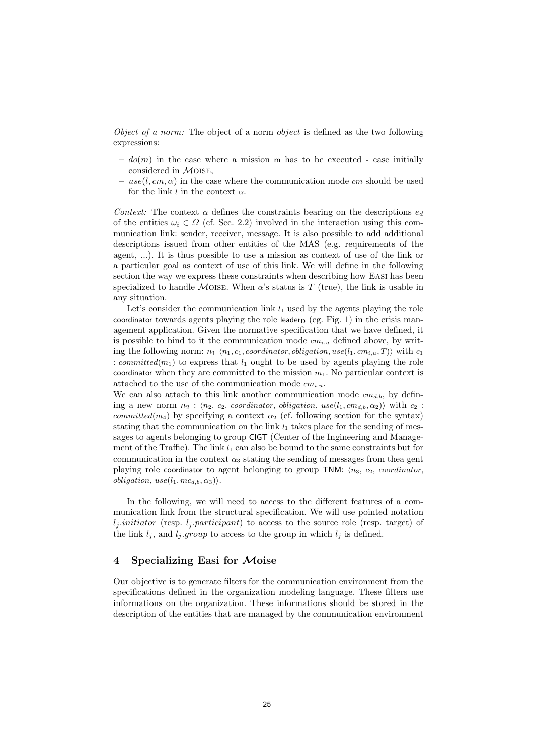Object of a norm: The object of a norm object is defined as the two following expressions:

- $-$  do(m) in the case where a mission m has to be executed case initially considered in Moise,
- use(l, cm,  $\alpha$ ) in the case where the communication mode cm should be used for the link  $l$  in the context  $\alpha$ .

Context: The context  $\alpha$  defines the constraints bearing on the descriptions  $e_d$ of the entities  $\omega_i \in \Omega$  (cf. Sec. 2.2) involved in the interaction using this communication link: sender, receiver, message. It is also possible to add additional descriptions issued from other entities of the MAS (e.g. requirements of the agent, ...). It is thus possible to use a mission as context of use of the link or a particular goal as context of use of this link. We will define in the following section the way we express these constraints when describing how Easi has been specialized to handle MOISE. When  $\alpha$ 's status is T (true), the link is usable in any situation.

Let's consider the communication link  $l_1$  used by the agents playing the role coordinator towards agents playing the role leader $_D$  (eg. Fig. 1) in the crisis management application. Given the normative specification that we have defined, it is possible to bind to it the communication mode  $cm_{i,u}$  defined above, by writing the following norm:  $n_1 \langle n_1, c_1, coordinate, obligation, use(l_1, cm_{i,u}, T) \rangle$  with  $c_1$ : committed( $m_1$ ) to express that  $l_1$  ought to be used by agents playing the role coordinator when they are committed to the mission  $m_1$ . No particular context is attached to the use of the communication mode  $cm_{i,u}$ .

We can also attach to this link another communication mode  $cm_{d,b}$ , by defining a new norm  $n_2$ :  $\langle n_2, c_2,$  coordinator, obligation, use $(l_1, cm_d, b, \alpha_2)$  with  $c_2$ : committed( $m_4$ ) by specifying a context  $\alpha_2$  (cf. following section for the syntax) stating that the communication on the link  $l_1$  takes place for the sending of messages to agents belonging to group CIGT (Center of the Ingineering and Management of the Traffic). The link  $l_1$  can also be bound to the same constraints but for communication in the context  $\alpha_3$  stating the sending of messages from thea gent playing role coordinator to agent belonging to group TNM:  $\langle n_3, c_2,$  coordinator, *obligation,*  $use(l_1, mc_{d,b}, \alpha_3)\rangle$ .

In the following, we will need to access to the different features of a communication link from the structural specification. We will use pointed notation  $l_i$  initiator (resp.  $l_i$  participant) to access to the source role (resp. target) of the link  $l_j$ , and  $l_j$  group to access to the group in which  $l_j$  is defined.

## 4 Specializing Easi for Moise

Our objective is to generate filters for the communication environment from the specifications defined in the organization modeling language. These filters use informations on the organization. These informations should be stored in the description of the entities that are managed by the communication environment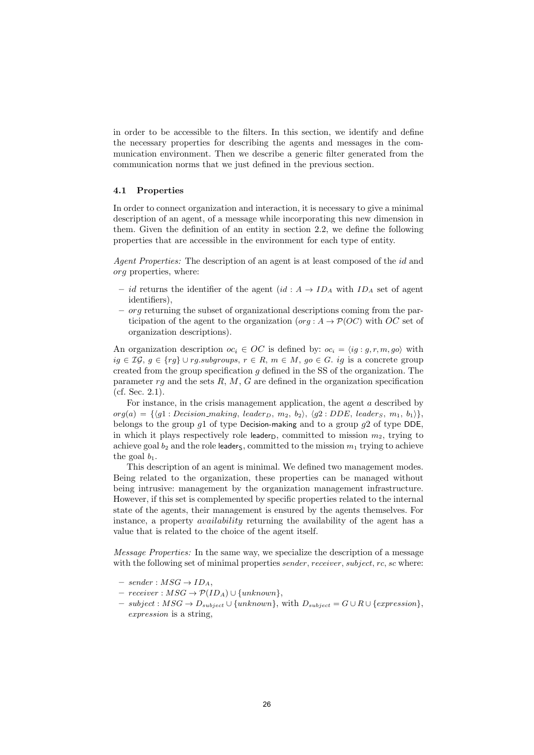in order to be accessible to the filters. In this section, we identify and define the necessary properties for describing the agents and messages in the communication environment. Then we describe a generic filter generated from the communication norms that we just defined in the previous section.

### 4.1 Properties

In order to connect organization and interaction, it is necessary to give a minimal description of an agent, of a message while incorporating this new dimension in them. Given the definition of an entity in section 2.2, we define the following properties that are accessible in the environment for each type of entity.

Agent Properties: The description of an agent is at least composed of the id and org properties, where:

- id returns the identifier of the agent  $(id : A \rightarrow ID_A$  with  $ID_A$  set of agent identifiers),
- org returning the subset of organizational descriptions coming from the participation of the agent to the organization (org :  $A \rightarrow \mathcal{P}(OC)$ ) with OC set of organization descriptions).

An organization description  $oc_i \in OC$  is defined by:  $oc_i = \langle iq : q, r, m, qo \rangle$  with ig ∈ IG, g ∈ {rg}  $\cup$  rg.subgroups,  $r \in R$ ,  $m \in M$ , go ∈ G. ig is a concrete group created from the group specification  $g$  defined in the SS of the organization. The parameter  $rg$  and the sets  $R, M, G$  are defined in the organization specification (cf. Sec. 2.1).

For instance, in the crisis management application, the agent a described by  $org(a) = {\langle g1 : Decision\_making, leader_D, m_2, b_2 \rangle, \langle g2 : DDE, leader_S, m_1, b_1 \rangle},$ belongs to the group  $g_1$  of type Decision-making and to a group  $g_2$  of type DDE, in which it plays respectively role leader<sub>D</sub>, committed to mission  $m_2$ , trying to achieve goal  $b_2$  and the role leaders, committed to the mission  $m_1$  trying to achieve the goal  $b_1$ .

This description of an agent is minimal. We defined two management modes. Being related to the organization, these properties can be managed without being intrusive: management by the organization management infrastructure. However, if this set is complemented by specific properties related to the internal state of the agents, their management is ensured by the agents themselves. For instance, a property availability returning the availability of the agent has a value that is related to the choice of the agent itself.

Message Properties: In the same way, we specialize the description of a message with the following set of minimal properties sender, receiver, subject, rc, sc where:

- $-$  sender :  $MSG \rightarrow ID_A$ ,
- $receiver : MSG \rightarrow \mathcal{P}(ID_A) \cup \{unknown\},$
- $-$  subject : MSG →  $D_{subject} \cup \{unknown\}$ , with  $D_{subject} = G \cup R \cup \{expression\}$ , expression is a string,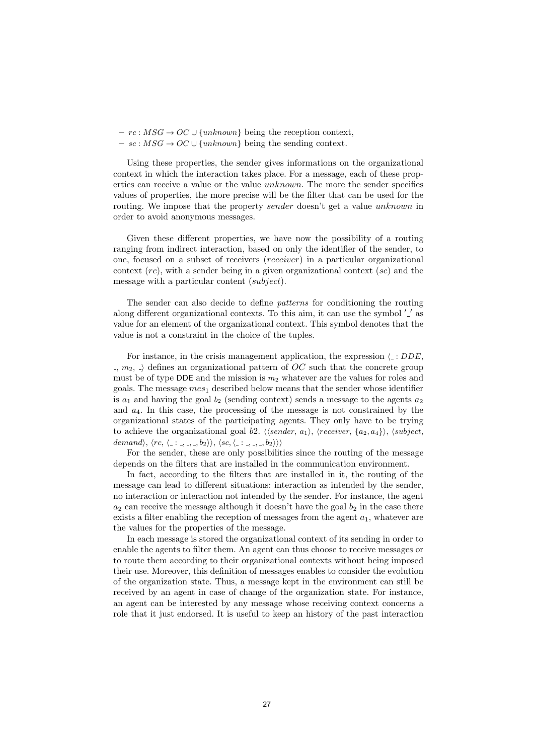- $rc : MSG \rightarrow OC \cup \{unknown\}$  being the reception context,
- $-sc: MSG \to OC \cup \{unknown\}$  being the sending context.

Using these properties, the sender gives informations on the organizational context in which the interaction takes place. For a message, each of these properties can receive a value or the value unknown. The more the sender specifies values of properties, the more precise will be the filter that can be used for the routing. We impose that the property *sender* doesn't get a value *unknown* in order to avoid anonymous messages.

Given these different properties, we have now the possibility of a routing ranging from indirect interaction, based on only the identifier of the sender, to one, focused on a subset of receivers (receiver) in a particular organizational context  $(rc)$ , with a sender being in a given organizational context  $(sc)$  and the message with a particular content (subject).

The sender can also decide to define patterns for conditioning the routing along different organizational contexts. To this aim, it can use the symbol  $\prime\prime$  as value for an element of the organizational context. This symbol denotes that the value is not a constraint in the choice of the tuples.

For instance, in the crisis management application, the expression  $\langle \cdot : DDE, \cdot \rangle$  $, m_2, \ldots$  defines an organizational pattern of OC such that the concrete group must be of type DDE and the mission is  $m_2$  whatever are the values for roles and goals. The message  $mes_1$  described below means that the sender whose identifier is  $a_1$  and having the goal  $b_2$  (sending context) sends a message to the agents  $a_2$ and  $a_4$ . In this case, the processing of the message is not constrained by the organizational states of the participating agents. They only have to be trying to achieve the organizational goal b2.  $\langle \langle sender, a_1 \rangle, \langle receiver, \{a_2, a_4\} \rangle, \langle subject,$ demand $\rangle, \langle rc, \langle . : , , , , b_2 \rangle \rangle, \langle sc, \langle . : , , , , b_2 \rangle \rangle \rangle$ 

For the sender, these are only possibilities since the routing of the message depends on the filters that are installed in the communication environment.

In fact, according to the filters that are installed in it, the routing of the message can lead to different situations: interaction as intended by the sender, no interaction or interaction not intended by the sender. For instance, the agent  $a_2$  can receive the message although it doesn't have the goal  $b_2$  in the case there exists a filter enabling the reception of messages from the agent  $a_1$ , whatever are the values for the properties of the message.

In each message is stored the organizational context of its sending in order to enable the agents to filter them. An agent can thus choose to receive messages or to route them according to their organizational contexts without being imposed their use. Moreover, this definition of messages enables to consider the evolution of the organization state. Thus, a message kept in the environment can still be received by an agent in case of change of the organization state. For instance, an agent can be interested by any message whose receiving context concerns a role that it just endorsed. It is useful to keep an history of the past interaction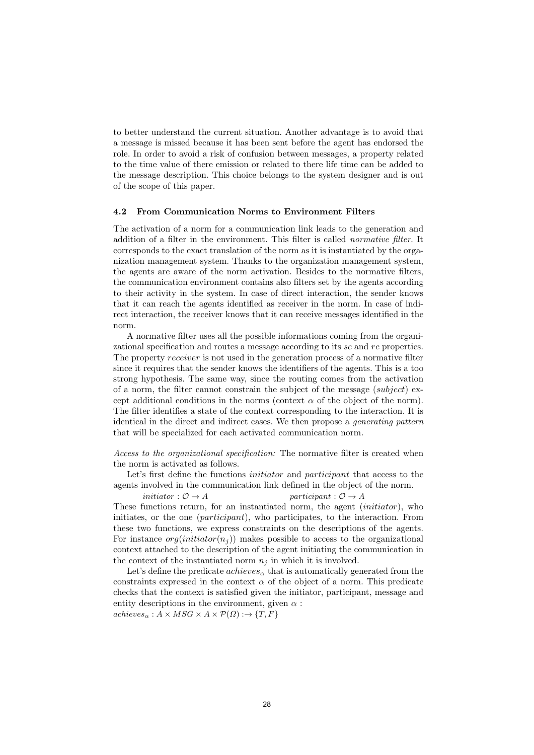to better understand the current situation. Another advantage is to avoid that a message is missed because it has been sent before the agent has endorsed the role. In order to avoid a risk of confusion between messages, a property related to the time value of there emission or related to there life time can be added to the message description. This choice belongs to the system designer and is out of the scope of this paper.

## 4.2 From Communication Norms to Environment Filters

The activation of a norm for a communication link leads to the generation and addition of a filter in the environment. This filter is called normative filter. It corresponds to the exact translation of the norm as it is instantiated by the organization management system. Thanks to the organization management system, the agents are aware of the norm activation. Besides to the normative filters, the communication environment contains also filters set by the agents according to their activity in the system. In case of direct interaction, the sender knows that it can reach the agents identified as receiver in the norm. In case of indirect interaction, the receiver knows that it can receive messages identified in the norm.

A normative filter uses all the possible informations coming from the organizational specification and routes a message according to its sc and rc properties. The property receiver is not used in the generation process of a normative filter since it requires that the sender knows the identifiers of the agents. This is a too strong hypothesis. The same way, since the routing comes from the activation of a norm, the filter cannot constrain the subject of the message  $(subject)$  except additional conditions in the norms (context  $\alpha$  of the object of the norm). The filter identifies a state of the context corresponding to the interaction. It is identical in the direct and indirect cases. We then propose a generating pattern that will be specialized for each activated communication norm.

Access to the organizational specification: The normative filter is created when the norm is activated as follows.

Let's first define the functions *initiator* and *participant* that access to the agents involved in the communication link defined in the object of the norm.

initiator :  $\mathcal{O} \to A$  participant :  $\mathcal{O} \to A$ 

These functions return, for an instantiated norm, the agent *(initiator)*, who initiates, or the one (participant), who participates, to the interaction. From these two functions, we express constraints on the descriptions of the agents. For instance  $org(initiator(n_j))$  makes possible to access to the organizational context attached to the description of the agent initiating the communication in the context of the instantiated norm  $n_i$  in which it is involved.

Let's define the predicate  $achieves_{\alpha}$  that is automatically generated from the constraints expressed in the context  $\alpha$  of the object of a norm. This predicate checks that the context is satisfied given the initiator, participant, message and entity descriptions in the environment, given  $\alpha$ :  $achieves_{\alpha}: A \times MSG \times A \times \mathcal{P}(\Omega) : \rightarrow \{T, F\}$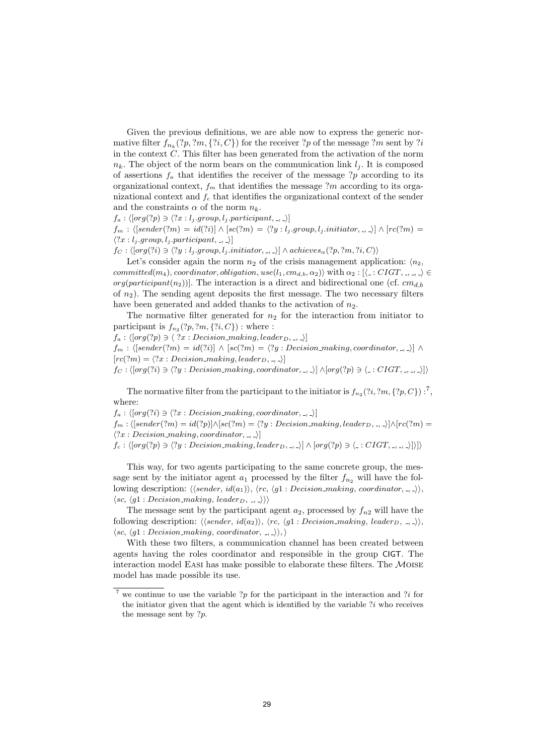Given the previous definitions, we are able now to express the generic normative filter  $f_{n_k}(?p, ?m, \{?i, C\})$  for the receiver ?p of the message ?m sent by ?i in the context  $C$ . This filter has been generated from the activation of the norm  $n_k$ . The object of the norm bears on the communication link  $l_i$ . It is composed of assertions  $f_a$  that identifies the receiver of the message ?p according to its organizational context,  $f_m$  that identifies the message ?m according to its organizational context and  $f_c$  that identifies the organizational context of the sender and the constraints  $\alpha$  of the norm  $n_k$ .

 $f_a: \langle \left[ org(?p) \ni \langle ?x : l_j.group, l_j.participant, \_, \_ \rangle \right]$ 

 $f_m$ :  $\langle [sender(?m) = id(?i)] \wedge [sc(?m) = \langle ?y : l_j.group, l_j.initiator, \_, \_ \rangle] \wedge [rc(?m) =$  $\langle ?x : l_j-group, l_j-participant, \_, \_ \rangle]$ 

 $f_C : \langle \langle \log(?i) \ni \langle ?y : l_i \cdot group, l_i \cdot initiator, \_, \_ \rangle \rangle \land achieves_{\alpha}(?p, ?m, ?i, C) \rangle$ 

Let's consider again the norm  $n_2$  of the crisis management application:  $\langle n_2, \rangle$ committed(m<sub>4</sub>), coordinator, obligation, use(l<sub>1</sub>, cm<sub>d,b</sub>,  $\alpha_2$ )) with  $\alpha_2 : \{\langle \bot : CIGT, \_, \_, \rangle \in$ org(participant(n<sub>2</sub>))]. The interaction is a direct and bidirectional one (cf. cm<sub>d,b</sub>) of  $n_2$ ). The sending agent deposits the first message. The two necessary filters have been generated and added thanks to the activation of  $n_2$ .

The normative filter generated for  $n_2$  for the interaction from initiator to participant is  $f_{n_2}(?p, ?m, \{?i, C\})$ : where :

 $f_a: \langle \langle org(?p) \ni \langle ?x : Decision\_making, leader_D, \_, \rangle \rangle$ 

 $f_m : \langle [sender(?m) = id(?i)] \wedge [sc(?m) = \langle ?y : Decision\_making, coordinator, \_, \_ \rangle] \wedge$  $[rc(?m) = \langle ?x : Decision\_making, leader_D, \_, \_ \rangle]$ 

 $f_C: \langle \langle org(?i) \ni \langle ?y : Decision\_making, coordinator, \_, \_ \rangle \rangle \land \langle org(?p) \ni \langle \_ : ClGT, \_, \_, \rangle \rangle$ 

The normative filter from the participant to the initiator is  $f_{n_2}$  (?i, ?m, {?p, C}) :<sup>7</sup>, where:

 $f_a: \langle \langle org(?i) \ni \langle ?x : Decision\_making, coordinator, \_, \_ \rangle \rangle$ 

 $f_m : \langle [sender(?m) = id(?p)] \wedge [sc(?m) = \langle ?y : Decision\_making, leader_D, \_, \rangle] \wedge [rc(?m) = \langle ?y : Decision\_making, leader_D, \_, \rangle]$  $\langle ?x : Decision\_making, coordinator, \_, \rangle$ 

 $f_c : \langle \langle \log(?p) \ni \langle ?y : Decision\_making, leader_D, \_, \_ \rangle \rangle \land \langle \log(?p) \ni \langle \_ : CIGT, \_, \_, \_ \rangle \rangle$ 

This way, for two agents participating to the same concrete group, the message sent by the initiator agent  $a_1$  processed by the filter  $f_{n_2}$  will have the following description:  $\langle \langle sender, id(a_1) \rangle, \langle rc, \langle g_1 : Decision\_making, coordinator, -, \rangle \rangle,$  $\langle sc, \langle g1 : Decision\_making, leader_D, \_, \rangle \rangle$ 

The message sent by the participant agent  $a_2$ , processed by  $f_{n2}$  will have the following description:  $\langle \langle sender, id(a_2) \rangle, \langle rc, \langle g_1 : Decision\_making, leader_D, -, \rangle \rangle,$  $\langle sc, \langle gl : Decision\_making, \, coordinate, \_, \rangle \rangle,$ 

With these two filters, a communication channel has been created between agents having the roles coordinator and responsible in the group CIGT. The interaction model EASI has make possible to elaborate these filters. The  $\mathcal{M}$ OISE model has made possible its use.

<sup>&</sup>lt;sup>7</sup> we continue to use the variable ?p for the participant in the interaction and ?i for the initiator given that the agent which is identified by the variable  $?i$  who receives the message sent by ?p.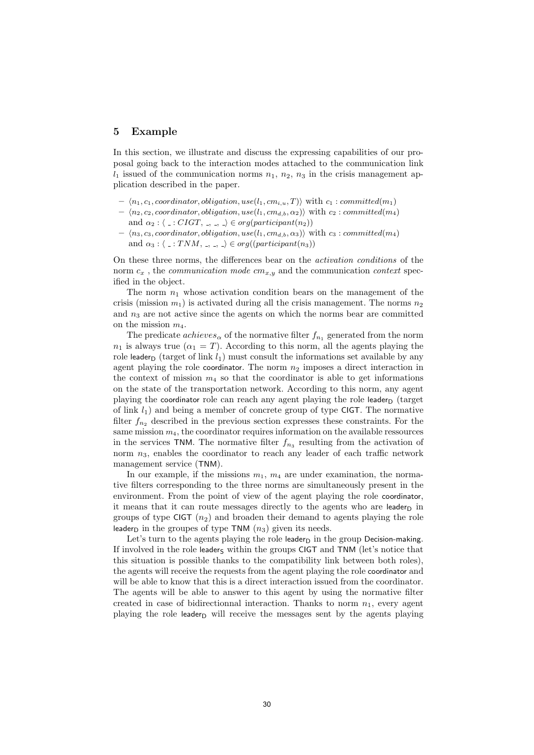## 5 Example

In this section, we illustrate and discuss the expressing capabilities of our proposal going back to the interaction modes attached to the communication link  $l_1$  issued of the communication norms  $n_1$ ,  $n_2$ ,  $n_3$  in the crisis management application described in the paper.

- $\langle n_1, c_1,$  coordinator, obligation, use  $(l_1, cm_{i,u}, T)$  with  $c_1 : committed(m_1)$  $\langle n_2, c_2,$  coordinator, obligation, use  $(l_1, cm_{d,b}, \alpha_2)$  with  $c_2$  : committed(m<sub>4</sub>) and  $\alpha_2 : \langle \_ : CIGT, \_ , \_ , \_ \rangle \in org(participant(n_2))$
- $\langle n_3, c_3,$  coordinator, obligation, use $(l_1, cm_{d,b}, \alpha_3)$  with  $c_3 : committed(m_4)$ and  $\alpha_3 : \langle \_ : TNM, \_ \_ \to \rangle \in \text{org}((\text{participant}(n_3)))$

On these three norms, the differences bear on the activation conditions of the norm  $c_x$ , the *communication mode*  $cm_{x,y}$  and the communication *context* specified in the object.

The norm  $n_1$  whose activation condition bears on the management of the crisis (mission  $m_1$ ) is activated during all the crisis management. The norms  $n_2$ and  $n_3$  are not active since the agents on which the norms bear are committed on the mission  $m_4$ .

The predicate  $achieves_{\alpha}$  of the normative filter  $f_{n_1}$  generated from the norm  $n_1$  is always true  $(\alpha_1 = T)$ . According to this norm, all the agents playing the role leader<sub>D</sub> (target of link  $l_1$ ) must consult the informations set available by any agent playing the role coordinator. The norm  $n_2$  imposes a direct interaction in the context of mission  $m_4$  so that the coordinator is able to get informations on the state of the transportation network. According to this norm, any agent playing the coordinator role can reach any agent playing the role leader  $($  target of link  $l_1$ ) and being a member of concrete group of type CIGT. The normative filter  $f_{n_2}$  described in the previous section expresses these constraints. For the same mission  $m_4$ , the coordinator requires information on the available ressources in the services TNM. The normative filter  $f_{n_3}$  resulting from the activation of norm  $n_3$ , enables the coordinator to reach any leader of each traffic network management service (TNM).

In our example, if the missions  $m_1$ ,  $m_4$  are under examination, the normative filters corresponding to the three norms are simultaneously present in the environment. From the point of view of the agent playing the role coordinator, it means that it can route messages directly to the agents who are leader $_D$  in groups of type CIGT  $(n_2)$  and broaden their demand to agents playing the role leader<sub>D</sub> in the groupes of type TNM  $(n_3)$  given its needs.

Let's turn to the agents playing the role leader $<sub>D</sub>$  in the group Decision-making.</sub> If involved in the role leaders within the groups CIGT and TNM (let's notice that this situation is possible thanks to the compatibility link between both roles), the agents will receive the requests from the agent playing the role coordinator and will be able to know that this is a direct interaction issued from the coordinator. The agents will be able to answer to this agent by using the normative filter created in case of bidirectionnal interaction. Thanks to norm  $n_1$ , every agent playing the role leader<sub>D</sub> will receive the messages sent by the agents playing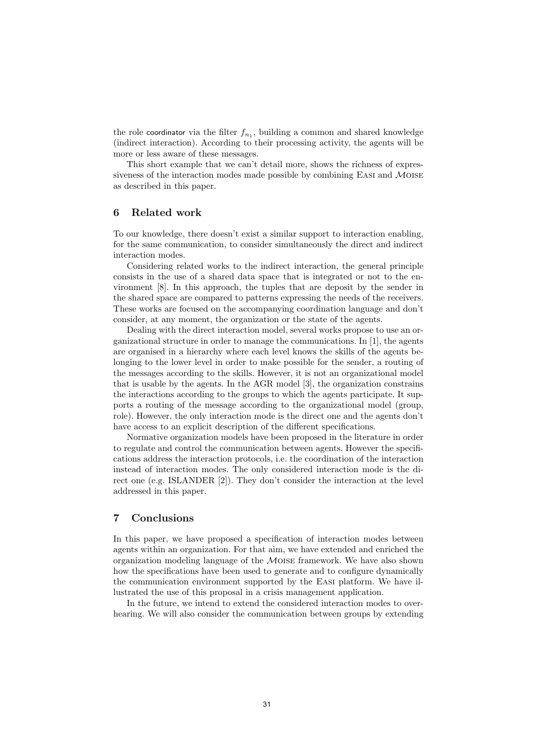the role coordinator via the filter  $f_{n_1}$ , building a common and shared knowledge (indirect interaction). According to their processing activity, the agents will be more or less aware of these messages.

This short example that we can't detail more, shows the richness of expressiveness of the interaction modes made possible by combining EASI and MOISE as described in this paper.

## 6 Related work

To our knowledge, there doesn't exist a similar support to interaction enabling, for the same communication, to consider simultaneously the direct and indirect interaction modes.

Considering related works to the indirect interaction, the general principle consists in the use of a shared data space that is integrated or not to the environment [8]. In this approach, the tuples that are deposit by the sender in the shared space are compared to patterns expressing the needs of the receivers. These works are focused on the accompanying coordination language and don't consider, at any moment, the organization or the state of the agents.

Dealing with the direct interaction model, several works propose to use an organizational structure in order to manage the communications. In [1], the agents are organised in a hierarchy where each level knows the skills of the agents belonging to the lower level in order to make possible for the sender, a routing of the messages according to the skills. However, it is not an organizational model that is usable by the agents. In the AGR model [3], the organization constrains the interactions according to the groups to which the agents participate. It supports a routing of the message according to the organizational model (group, role). However, the only interaction mode is the direct one and the agents don't have access to an explicit description of the different specifications.

Normative organization models have been proposed in the literature in order to regulate and control the communication between agents. However the specifications address the interaction protocols, i.e. the coordination of the interaction instead of interaction modes. The only considered interaction mode is the direct one (e.g. ISLANDER [2]). They don't consider the interaction at the level addressed in this paper.

## 7 Conclusions

In this paper, we have proposed a specification of interaction modes between agents within an organization. For that aim, we have extended and enriched the organization modeling language of the Moise framework. We have also shown how the specifications have been used to generate and to configure dynamically the communication environment supported by the Easi platform. We have illustrated the use of this proposal in a crisis management application.

In the future, we intend to extend the considered interaction modes to overhearing. We will also consider the communication between groups by extending